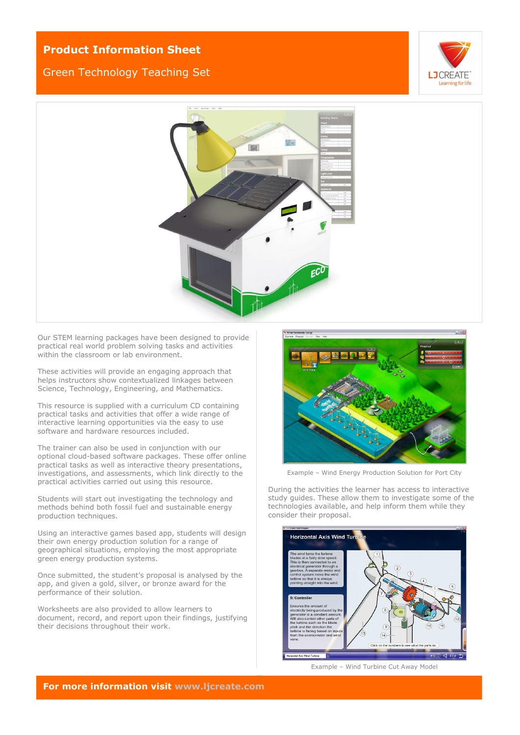## **Product Information Sheet**

## Green Technology Teaching Set





Our STEM learning packages have been designed to provide practical real world problem solving tasks and activities within the classroom or lab environment.

These activities will provide an engaging approach that helps instructors show contextualized linkages between Science, Technology, Engineering, and Mathematics.

This resource is supplied with a curriculum CD containing practical tasks and activities that offer a wide range of interactive learning opportunities via the easy to use software and hardware resources included.

The trainer can also be used in conjunction with our optional cloud-based software packages. These offer online practical tasks as well as interactive theory presentations, investigations, and assessments, which link directly to the practical activities carried out using this resource.

Students will start out investigating the technology and methods behind both fossil fuel and sustainable energy production techniques.

Using an interactive games based app, students will design their own energy production solution for a range of geographical situations, employing the most appropriate green energy production systems.

Once submitted, the student's proposal is analysed by the app, and given a gold, silver, or bronze award for the performance of their solution.

Worksheets are also provided to allow learners to document, record, and report upon their findings, justifying their decisions throughout their work.



Example – Wind Energy Production Solution for Port City

During the activities the learner has access to interactive study guides. These allow them to investigate some of the technologies available, and help inform them while they consider their proposal.



Example – Wind Turbine Cut Away Model